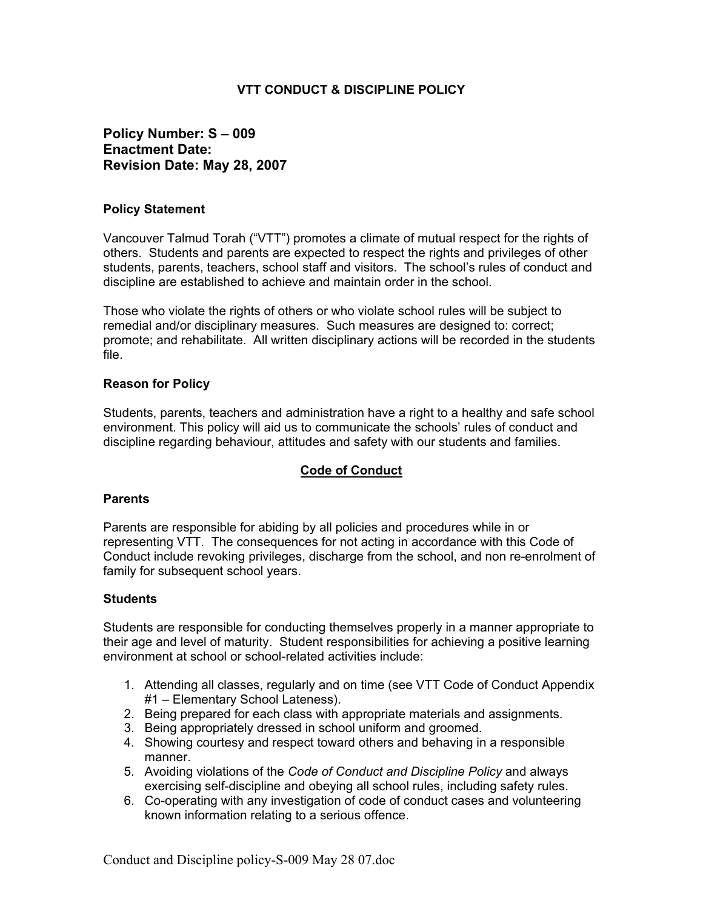## **VTT CONDUCT & DISCIPLINE POLICY**

# **Policy Number: S – 009 Enactment Date: Revision Date: May 28, 2007**

### **Policy Statement**

Vancouver Talmud Torah ("VTT") promotes a climate of mutual respect for the rights of others. Students and parents are expected to respect the rights and privileges of other students, parents, teachers, school staff and visitors. The school's rules of conduct and discipline are established to achieve and maintain order in the school.

Those who violate the rights of others or who violate school rules will be subject to remedial and/or disciplinary measures. Such measures are designed to: correct; promote; and rehabilitate. All written disciplinary actions will be recorded in the students file.

### **Reason for Policy**

Students, parents, teachers and administration have a right to a healthy and safe school environment. This policy will aid us to communicate the schools' rules of conduct and discipline regarding behaviour, attitudes and safety with our students and families.

## **Code of Conduct**

#### **Parents**

Parents are responsible for abiding by all policies and procedures while in or representing VTT. The consequences for not acting in accordance with this Code of Conduct include revoking privileges, discharge from the school, and non re-enrolment of family for subsequent school years.

#### **Students**

Students are responsible for conducting themselves properly in a manner appropriate to their age and level of maturity. Student responsibilities for achieving a positive learning environment at school or school-related activities include:

- 1. Attending all classes, regularly and on time (see VTT Code of Conduct Appendix #1 – Elementary School Lateness).
- 2. Being prepared for each class with appropriate materials and assignments.
- 3. Being appropriately dressed in school uniform and groomed.
- 4. Showing courtesy and respect toward others and behaving in a responsible manner.
- 5. Avoiding violations of the *Code of Conduct and Discipline Policy* and always exercising self-discipline and obeying all school rules, including safety rules.
- 6. Co-operating with any investigation of code of conduct cases and volunteering known information relating to a serious offence.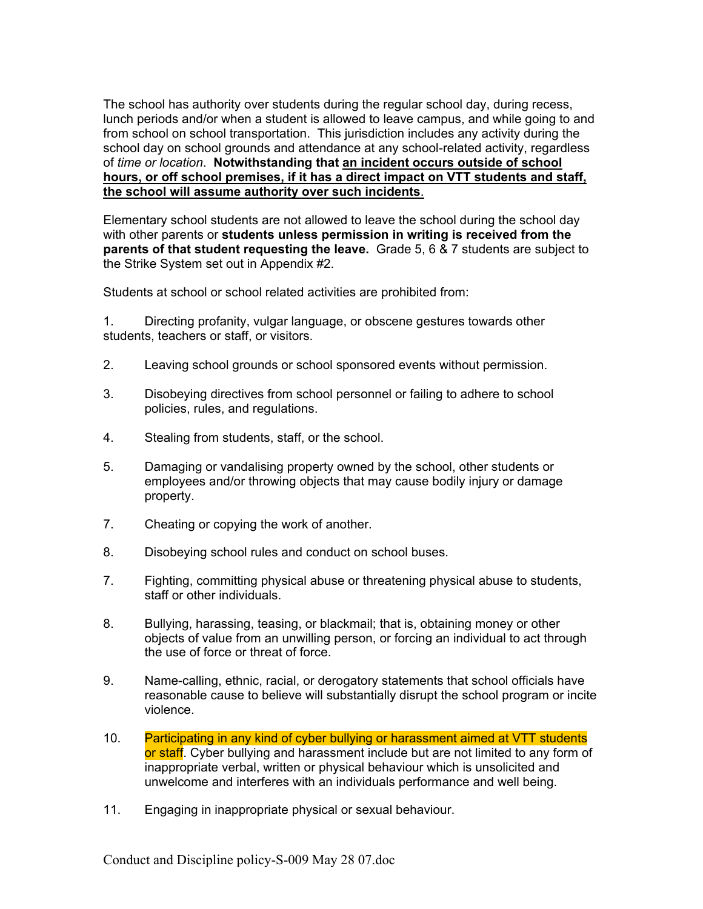The school has authority over students during the regular school day, during recess, lunch periods and/or when a student is allowed to leave campus, and while going to and from school on school transportation. This jurisdiction includes any activity during the school day on school grounds and attendance at any school-related activity, regardless of *time or location*. **Notwithstanding that an incident occurs outside of school hours, or off school premises, if it has a direct impact on VTT students and staff, the school will assume authority over such incidents**.

Elementary school students are not allowed to leave the school during the school day with other parents or **students unless permission in writing is received from the parents of that student requesting the leave.** Grade 5, 6 & 7 students are subject to the Strike System set out in Appendix #2.

Students at school or school related activities are prohibited from:

1. Directing profanity, vulgar language, or obscene gestures towards other students, teachers or staff, or visitors.

- 2. Leaving school grounds or school sponsored events without permission.
- 3. Disobeying directives from school personnel or failing to adhere to school policies, rules, and regulations.
- 4. Stealing from students, staff, or the school.
- 5. Damaging or vandalising property owned by the school, other students or employees and/or throwing objects that may cause bodily injury or damage property.
- 7. Cheating or copying the work of another.
- 8. Disobeying school rules and conduct on school buses.
- 7. Fighting, committing physical abuse or threatening physical abuse to students, staff or other individuals.
- 8. Bullying, harassing, teasing, or blackmail; that is, obtaining money or other objects of value from an unwilling person, or forcing an individual to act through the use of force or threat of force.
- 9. Name-calling, ethnic, racial, or derogatory statements that school officials have reasonable cause to believe will substantially disrupt the school program or incite violence.
- 10. Participating in any kind of cyber bullying or harassment aimed at VTT students or staff. Cyber bullying and harassment include but are not limited to any form of inappropriate verbal, written or physical behaviour which is unsolicited and unwelcome and interferes with an individuals performance and well being.
- 11. Engaging in inappropriate physical or sexual behaviour.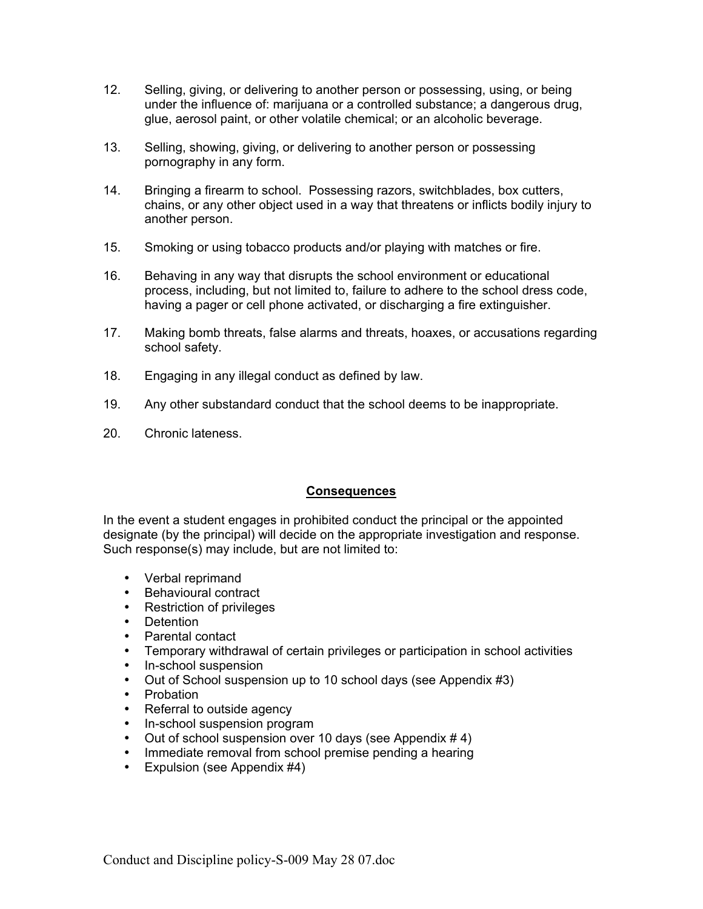- 12. Selling, giving, or delivering to another person or possessing, using, or being under the influence of: marijuana or a controlled substance; a dangerous drug, glue, aerosol paint, or other volatile chemical; or an alcoholic beverage.
- 13. Selling, showing, giving, or delivering to another person or possessing pornography in any form.
- 14. Bringing a firearm to school. Possessing razors, switchblades, box cutters, chains, or any other object used in a way that threatens or inflicts bodily injury to another person.
- 15. Smoking or using tobacco products and/or playing with matches or fire.
- 16. Behaving in any way that disrupts the school environment or educational process, including, but not limited to, failure to adhere to the school dress code, having a pager or cell phone activated, or discharging a fire extinguisher.
- 17. Making bomb threats, false alarms and threats, hoaxes, or accusations regarding school safety.
- 18. Engaging in any illegal conduct as defined by law.
- 19. Any other substandard conduct that the school deems to be inappropriate.
- 20. Chronic lateness.

## **Consequences**

In the event a student engages in prohibited conduct the principal or the appointed designate (by the principal) will decide on the appropriate investigation and response. Such response(s) may include, but are not limited to:

- Verbal reprimand
- Behavioural contract
- Restriction of privileges
- Detention
- Parental contact
- Temporary withdrawal of certain privileges or participation in school activities
- In-school suspension
- Out of School suspension up to 10 school days (see Appendix #3)
- Probation
- Referral to outside agency
- In-school suspension program
- Out of school suspension over 10 days (see Appendix # 4)
- Immediate removal from school premise pending a hearing
- Expulsion (see Appendix #4)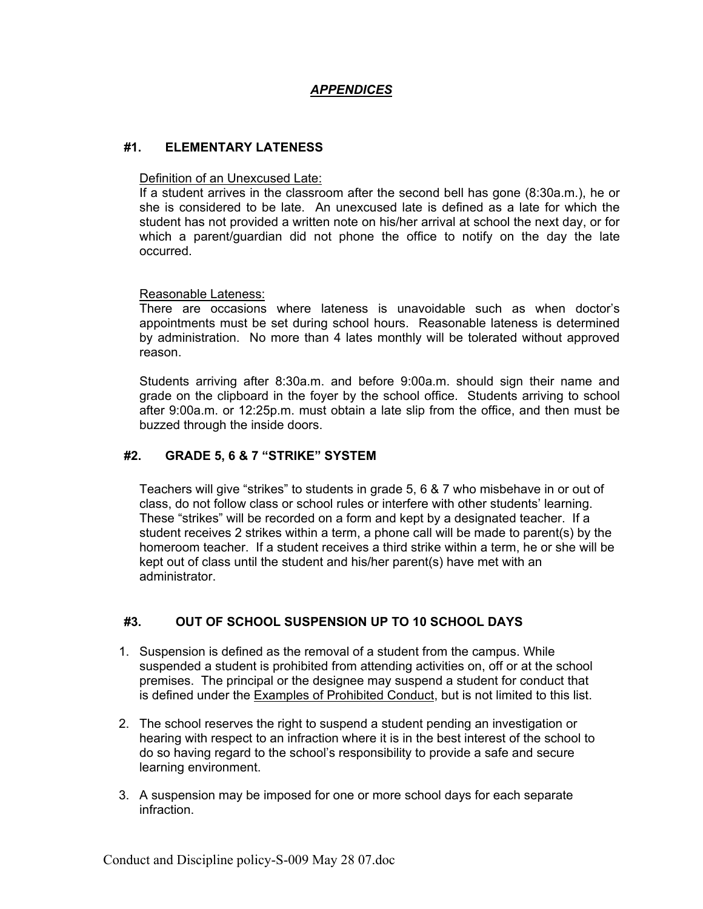# *APPENDICES*

## **#1. ELEMENTARY LATENESS**

#### Definition of an Unexcused Late:

If a student arrives in the classroom after the second bell has gone (8:30a.m.), he or she is considered to be late. An unexcused late is defined as a late for which the student has not provided a written note on his/her arrival at school the next day, or for which a parent/guardian did not phone the office to notify on the day the late occurred.

#### Reasonable Lateness:

There are occasions where lateness is unavoidable such as when doctor's appointments must be set during school hours. Reasonable lateness is determined by administration. No more than 4 lates monthly will be tolerated without approved reason.

Students arriving after 8:30a.m. and before 9:00a.m. should sign their name and grade on the clipboard in the foyer by the school office. Students arriving to school after 9:00a.m. or 12:25p.m. must obtain a late slip from the office, and then must be buzzed through the inside doors.

### **#2. GRADE 5, 6 & 7 "STRIKE" SYSTEM**

Teachers will give "strikes" to students in grade 5, 6 & 7 who misbehave in or out of class, do not follow class or school rules or interfere with other students' learning. These "strikes" will be recorded on a form and kept by a designated teacher. If a student receives 2 strikes within a term, a phone call will be made to parent(s) by the homeroom teacher. If a student receives a third strike within a term, he or she will be kept out of class until the student and his/her parent(s) have met with an administrator.

## **#3. OUT OF SCHOOL SUSPENSION UP TO 10 SCHOOL DAYS**

- 1. Suspension is defined as the removal of a student from the campus. While suspended a student is prohibited from attending activities on, off or at the school premises. The principal or the designee may suspend a student for conduct that is defined under the Examples of Prohibited Conduct, but is not limited to this list.
- 2. The school reserves the right to suspend a student pending an investigation or hearing with respect to an infraction where it is in the best interest of the school to do so having regard to the school's responsibility to provide a safe and secure learning environment.
- 3. A suspension may be imposed for one or more school days for each separate infraction.